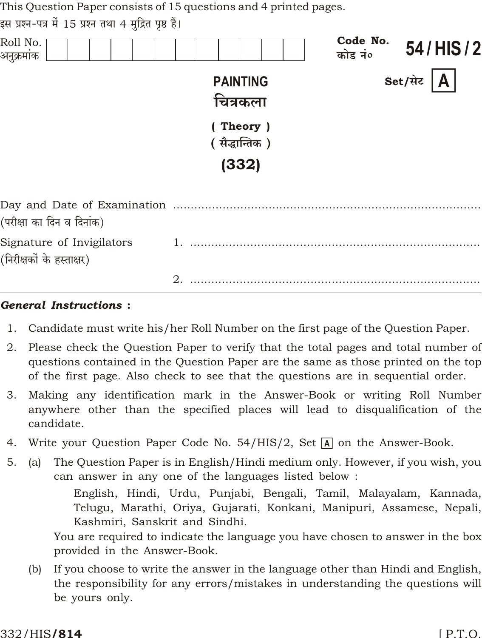This Question Paper consists of 15 questions and 4 printed pages.

| इस प्रश्न-पत्र में 15 प्रश्न तथा 4 मुद्रित पृष्ठ हैं। |  |  |  |  |
|-------------------------------------------------------|--|--|--|--|
|                                                       |  |  |  |  |

| Roll No.<br>अनुक्रमांक                                 |                                    | Code No.<br>कोड नं० | 54/HIS/2                |
|--------------------------------------------------------|------------------------------------|---------------------|-------------------------|
|                                                        | <b>PAINTING</b><br>चित्रकला        |                     | $\mathbf{A}$<br>Set/सेट |
|                                                        | (Theory)<br>(सैद्धान्तिक)<br>(332) |                     |                         |
| (परीक्षा का दिन व दिनांक)                              |                                    |                     |                         |
| Signature of Invigilators<br>(निरीक्षकों के हस्ताक्षर) |                                    |                     |                         |
|                                                        | $\mathbf{2}$                       |                     |                         |

#### **General Instructions:**

- Candidate must write his/her Roll Number on the first page of the Question Paper. 1.
- 2. Please check the Question Paper to verify that the total pages and total number of questions contained in the Question Paper are the same as those printed on the top of the first page. Also check to see that the questions are in sequential order.
- 3. Making any identification mark in the Answer-Book or writing Roll Number anywhere other than the specified places will lead to disqualification of the candidate.
- Write your Question Paper Code No.  $54/HIS/2$ , Set A on the Answer-Book. 4.
- The Question Paper is in English/Hindi medium only. However, if you wish, you  $5<sub>1</sub>$  $(a)$ can answer in any one of the languages listed below:

English, Hindi, Urdu, Punjabi, Bengali, Tamil, Malayalam, Kannada, Telugu, Marathi, Oriya, Gujarati, Konkani, Manipuri, Assamese, Nepali, Kashmiri, Sanskrit and Sindhi.

You are required to indicate the language you have chosen to answer in the box provided in the Answer-Book.

If you choose to write the answer in the language other than Hindi and English,  $(b)$ the responsibility for any errors/mistakes in understanding the questions will be yours only.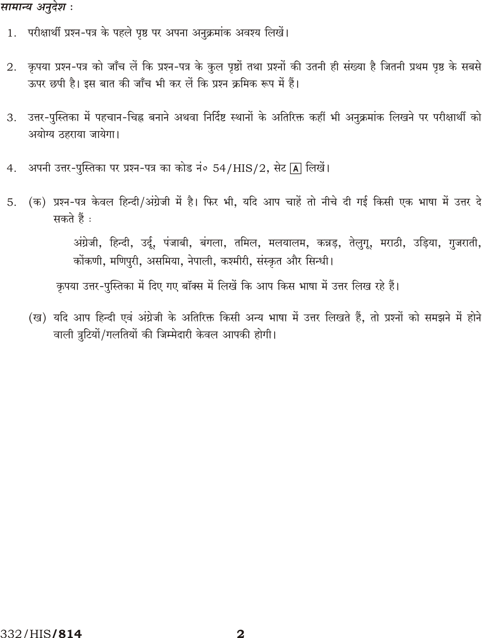#### सामान्य अनुदेश :

- 1. परीक्षार्थी प्रश्न-पत्र के पहले पृष्ठ पर अपना अनुक्रमांक अवश्य लिखें।
- कृपया प्रश्न-पत्र को जाँच लें कि प्रश्न-पत्र के कुल पृष्ठों तथा प्रश्नों की उतनी ही संख्या है जितनी प्रथम पृष्ठ के सबसे 2. ऊपर छपी है। इस बात की जाँच भी कर लें कि प्रश्न क्रमिक रूप में हैं।
- उत्तर-पुस्तिका में पहचान-चिह्न बनाने अथवा निर्दिष्ट स्थानों के अतिरिक्त कहीं भी अनुक्रमांक लिखने पर परीक्षार्थी को 3. अयोग्य ठहराया जायेगा।
- अपनी उत्तर-पुस्तिका पर प्रश्न-पत्र का कोड नं० 54/HIS/2, सेट [A] लिखें।  $4.$
- (क) प्रश्न-पत्र केवल हिन्दी/अंग्रेजी में है। फिर भी, यदि आप चाहें तो नीचे दी गई किसी एक भाषा में उत्तर दे 5. सकते हैं :

अंग्रेजी, हिन्दी, उर्दू, पंजाबी, बंगला, तमिल, मलयालम, कन्नड़, तेलुगू, मराठी, उड़िया, गुजराती, कोंकणी, मणिपुरी, असमिया, नेपाली, कश्मीरी, संस्कृत और सिन्धी।

कृपया उत्तर-पुस्तिका में दिए गए बॉक्स में लिखें कि आप किस भाषा में उत्तर लिख रहे हैं।

(ख) यदि आप हिन्दी एवं अंग्रेजी के अतिरिक्त किसी अन्य भाषा में उत्तर लिखते हैं, तो प्रश्नों को समझने में होने वाली त्रुटियों/गलतियों की जिम्मेदारी केवल आपकी होगी।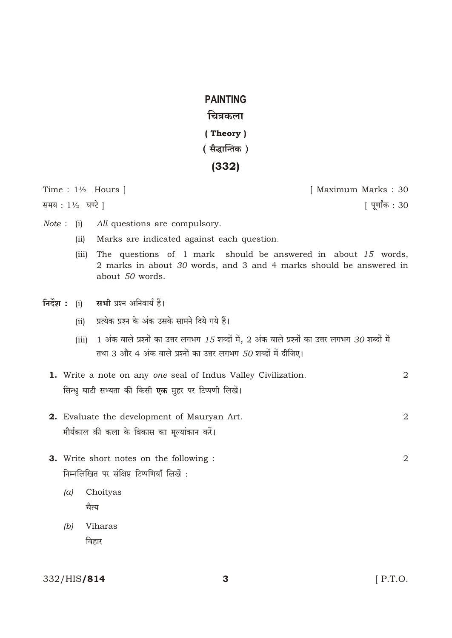## **PAINTING**

## चित्रकला

- (Theory)
- (सैद्धान्तिक)

# $(332)$

Time:  $1\frac{1}{2}$  Hours |

समय: 11/2 घण्टे |

[ Maximum Marks: 30

| पूर्णांक : 30

- Note : (i) All questions are compulsory.
	- (ii) Marks are indicated against each question.
	- The questions of 1 mark should be answered in about 15 words,  $(iii)$ 2 marks in about 30 words, and 3 and 4 marks should be answered in about 50 words.
- निर्देश : (i) सभी प्रश्न अनिवार्य हैं।
	- (ii) प्रत्येक प्रश्न के अंक उसके सामने दिये गये हैं।
	- (iii) 1 अंक वाले प्रश्नों का उत्तर लगभग 15 शब्दों में, 2 अंक वाले प्रश्नों का उत्तर लगभग 30 शब्दों में तथा 3 और 4 अंक वाले प्रश्नों का उत्तर लगभग 50 शब्दों में दीजिए।
	- 1. Write a note on any one seal of Indus Valley Civilization.  $\mathfrak{D}$ सिन्धु घाटी सभ्यता की किसी एक मुहर पर टिप्पणी लिखें।
	- 2. Evaluate the development of Mauryan Art.  $\overline{2}$ मौर्यकाल की कला के विकास का मूल्यांकान करें।
	- 3. Write short notes on the following : निम्नलिखित पर संक्षिप्त टिप्पणियाँ लिखें :
		- $(a)$ Choityas चैत्य
		- $(b)$ Viharas विहार

#### 332/HIS/814

 $[$  P.T.O.

 $\overline{2}$